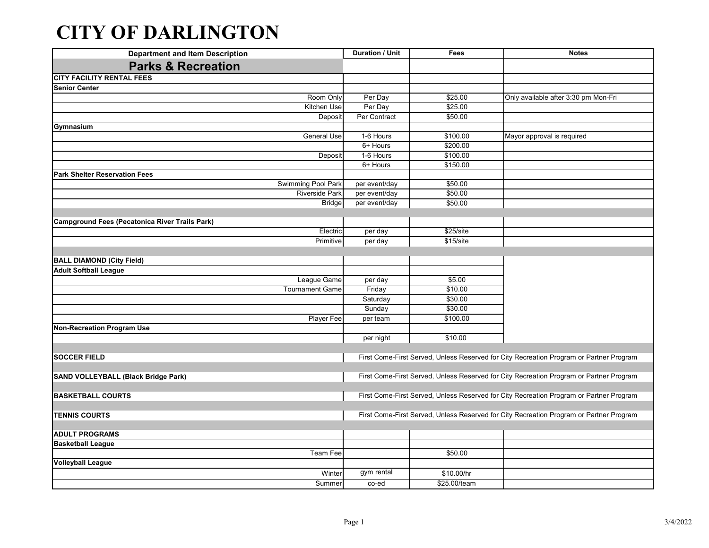## **CITY OF DARLINGTON**

| <b>Department and Item Description</b>                | <b>Duration / Unit</b>                                                                  | Fees                                                                                    | <b>Notes</b>                                                                            |  |
|-------------------------------------------------------|-----------------------------------------------------------------------------------------|-----------------------------------------------------------------------------------------|-----------------------------------------------------------------------------------------|--|
| <b>Parks &amp; Recreation</b>                         |                                                                                         |                                                                                         |                                                                                         |  |
| <b>CITY FACILITY RENTAL FEES</b>                      |                                                                                         |                                                                                         |                                                                                         |  |
| <b>Senior Center</b>                                  |                                                                                         |                                                                                         |                                                                                         |  |
| Room Only                                             | Per Day                                                                                 | \$25.00                                                                                 | Only available after 3:30 pm Mon-Fri                                                    |  |
| Kitchen Use                                           | Per Day                                                                                 | \$25.00                                                                                 |                                                                                         |  |
| Deposit                                               | Per Contract                                                                            | \$50.00                                                                                 |                                                                                         |  |
| Gymnasium                                             |                                                                                         |                                                                                         |                                                                                         |  |
| <b>General Use</b>                                    | 1-6 Hours                                                                               | \$100.00                                                                                | Mayor approval is required                                                              |  |
|                                                       | 6+ Hours                                                                                | \$200.00                                                                                |                                                                                         |  |
| Deposit                                               | 1-6 Hours                                                                               | \$100.00                                                                                |                                                                                         |  |
|                                                       | 6+ Hours                                                                                | \$150.00                                                                                |                                                                                         |  |
| <b>Park Shelter Reservation Fees</b>                  |                                                                                         |                                                                                         |                                                                                         |  |
| Swimming Pool Park                                    | per event/day                                                                           | \$50.00                                                                                 |                                                                                         |  |
| <b>Riverside Park</b>                                 | per event/day                                                                           | \$50.00                                                                                 |                                                                                         |  |
| <b>Bridge</b>                                         | per event/day                                                                           | \$50.00                                                                                 |                                                                                         |  |
|                                                       |                                                                                         |                                                                                         |                                                                                         |  |
| <b>Campground Fees (Pecatonica River Trails Park)</b> |                                                                                         |                                                                                         |                                                                                         |  |
| Electric                                              | per day                                                                                 | \$25/site                                                                               |                                                                                         |  |
| Primitive                                             | per day                                                                                 | \$15/site                                                                               |                                                                                         |  |
|                                                       |                                                                                         |                                                                                         |                                                                                         |  |
| <b>BALL DIAMOND (City Field)</b>                      |                                                                                         |                                                                                         |                                                                                         |  |
| <b>Adult Softball League</b>                          |                                                                                         |                                                                                         |                                                                                         |  |
| League Game                                           | per day                                                                                 | \$5.00                                                                                  |                                                                                         |  |
| <b>Tournament Game</b>                                | Friday                                                                                  | \$10.00                                                                                 |                                                                                         |  |
|                                                       | Saturday                                                                                | \$30.00                                                                                 |                                                                                         |  |
|                                                       | Sunday                                                                                  | \$30.00                                                                                 |                                                                                         |  |
| Player Fee                                            | per team                                                                                | \$100.00                                                                                |                                                                                         |  |
| <b>Non-Recreation Program Use</b>                     |                                                                                         |                                                                                         |                                                                                         |  |
|                                                       | per night                                                                               | \$10.00                                                                                 |                                                                                         |  |
|                                                       |                                                                                         |                                                                                         |                                                                                         |  |
| <b>SOCCER FIELD</b>                                   |                                                                                         |                                                                                         | First Come-First Served, Unless Reserved for City Recreation Program or Partner Program |  |
|                                                       |                                                                                         | First Come-First Served, Unless Reserved for City Recreation Program or Partner Program |                                                                                         |  |
| SAND VOLLEYBALL (Black Bridge Park)                   |                                                                                         |                                                                                         |                                                                                         |  |
|                                                       |                                                                                         |                                                                                         |                                                                                         |  |
| <b>BASKETBALL COURTS</b>                              | First Come-First Served, Unless Reserved for City Recreation Program or Partner Program |                                                                                         |                                                                                         |  |
|                                                       |                                                                                         |                                                                                         |                                                                                         |  |
| <b>TENNIS COURTS</b>                                  |                                                                                         |                                                                                         | First Come-First Served, Unless Reserved for City Recreation Program or Partner Program |  |
| <b>ADULT PROGRAMS</b>                                 |                                                                                         |                                                                                         |                                                                                         |  |
| <b>Basketball League</b>                              |                                                                                         |                                                                                         |                                                                                         |  |
| Team Fee                                              |                                                                                         | \$50.00                                                                                 |                                                                                         |  |
| <b>Volleyball League</b>                              |                                                                                         |                                                                                         |                                                                                         |  |
|                                                       | gym rental                                                                              |                                                                                         |                                                                                         |  |
| Winter                                                |                                                                                         | \$10.00/hr                                                                              |                                                                                         |  |
| Summer                                                | co-ed                                                                                   | \$25.00/team                                                                            |                                                                                         |  |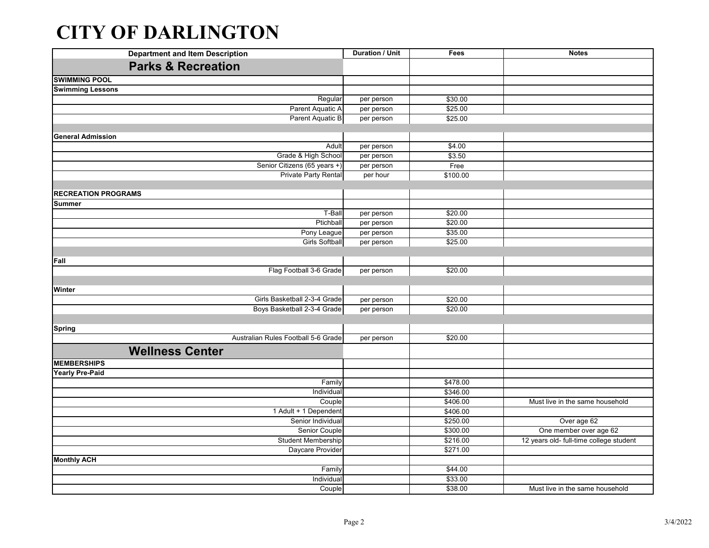## **CITY OF DARLINGTON**

| <b>Department and Item Description</b> | <b>Duration / Unit</b> | Fees     | <b>Notes</b>                            |
|----------------------------------------|------------------------|----------|-----------------------------------------|
| <b>Parks &amp; Recreation</b>          |                        |          |                                         |
| <b>SWIMMING POOL</b>                   |                        |          |                                         |
| <b>Swimming Lessons</b>                |                        |          |                                         |
| Regular                                | per person             | \$30.00  |                                         |
| Parent Aquatic A                       | per person             | \$25.00  |                                         |
| Parent Aquatic B                       | per person             | \$25.00  |                                         |
|                                        |                        |          |                                         |
| <b>General Admission</b>               |                        |          |                                         |
| Adult                                  | per person             | \$4.00   |                                         |
| Grade & High School                    | per person             | \$3.50   |                                         |
| Senior Citizens (65 years +)           | per person             | Free     |                                         |
| <b>Private Party Rental</b>            | per hour               | \$100.00 |                                         |
|                                        |                        |          |                                         |
| <b>RECREATION PROGRAMS</b>             |                        |          |                                         |
| <b>Summer</b>                          |                        |          |                                         |
| T-Ball                                 | per person             | \$20.00  |                                         |
| Ptichball                              | per person             | \$20.00  |                                         |
| Pony League                            | per person             | \$35.00  |                                         |
| <b>Girls Softball</b>                  | per person             | \$25.00  |                                         |
|                                        |                        |          |                                         |
| Fall                                   |                        |          |                                         |
| Flag Football 3-6 Grade                | per person             | \$20.00  |                                         |
|                                        |                        |          |                                         |
| Winter<br>Girls Basketball 2-3-4 Grade |                        |          |                                         |
|                                        | per person             | \$20.00  |                                         |
| Boys Basketball 2-3-4 Grade            | per person             | \$20.00  |                                         |
|                                        |                        |          |                                         |
| <b>Spring</b>                          |                        |          |                                         |
| Australian Rules Football 5-6 Grade    | per person             | \$20.00  |                                         |
| <b>Wellness Center</b>                 |                        |          |                                         |
| <b>MEMBERSHIPS</b>                     |                        |          |                                         |
| <b>Yearly Pre-Paid</b>                 |                        |          |                                         |
| Family                                 |                        | \$478.00 |                                         |
| Individual                             |                        | \$346.00 |                                         |
| Couple                                 |                        | \$406.00 | Must live in the same household         |
| 1 Adult + 1 Dependent                  |                        | \$406.00 |                                         |
| Senior Individual                      |                        | \$250.00 | Over age 62                             |
| Senior Couple                          |                        | \$300.00 | One member over age 62                  |
| Student Membership                     |                        | \$216.00 | 12 years old- full-time college student |
| Daycare Provider                       |                        | \$271.00 |                                         |
| <b>Monthly ACH</b>                     |                        |          |                                         |
| Family                                 |                        | \$44.00  |                                         |
| Individual                             |                        | \$33.00  |                                         |
| Couple                                 |                        | \$38.00  | Must live in the same household         |